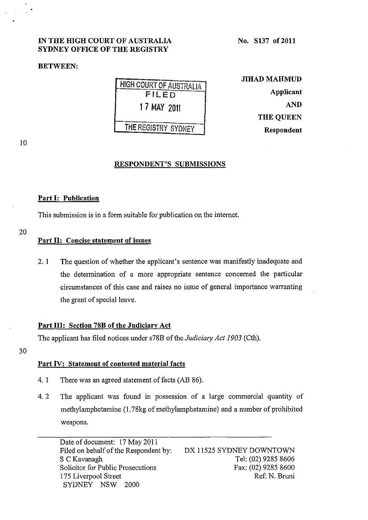# IN THE HIGH COURT OF AUSTRALIA SYDNEY OFFICE OF THE REGISTRY

#### BETWEEN:

No. S137 of 2011

**HIGH COURT OF AUSTRALIA** FILED 1 7 MAY 2011 THE REGISTRY SYDNEY

JIHAD MAHMUD Applicant AND THE QUEEN Respondent

10

### RESPONDENT'S SUBMISSIONS

#### Part I: Publication

This submission is in a form suitable for publication on the internet.

### Part 11: Concise statement of issues

2. 1 The question of whether the applicant's sentence was manifestly inadequate and the determination of a more appropriate sentence concerned the particular . circumstances of this case and raises no issue of general importance warranting the grant of special leave.

## Part III: Section 78B of the Judiciary Act

The applicant has filed notices under s78B of the *Judiciary Act 1903* (Cth).

30

## Part IV: Statement of contested material facts

- 4. 1 There was an agreed statement of facts (AB 86).
- 4. 2 The applicant was found in possession of a large commercial quantity of methylamphetamine (1.78kg of methylamphetamine) and a number of prohibited weapons.

Date of document: 17 May 2011 Filed on behalf of the Respondent by: S C Kavanagh Solicitor for Public Prosecutions 175 Liverpool Street SYDNEY NSW 2000 DX 11525 SYDNEY DOWNTOWN Tel: (02) 9285 8606 Fax: (02) 9285 8600 Ref: N. Bruni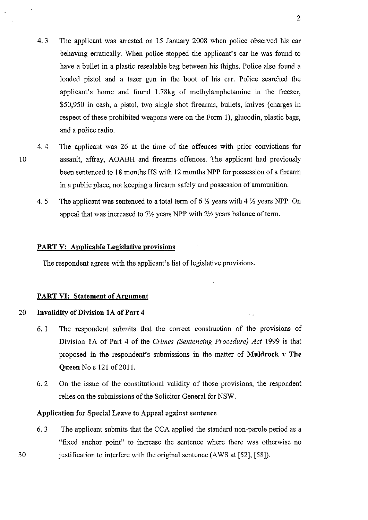- 4.3 The applicant was arrested on 15 January 2008 when police observed his car behaving erratically. When police stopped the applicant's car he was found to have a bullet in a plastic resealable bag between his thighs. Police also found a loaded pistol and a tazer gun in the boot of his car. Police searched the applicant's home and found 1.78kg of methylamphetamine in the freezer, \$50,950 in cash, a pistol, two single shot firearms, bullets, knives (charges in respect of these prohibited weapons were on the Form 1), glucodin, plastic bags, and a police radio.
- 4. 4 The applicant was 26 at the time of the offences with prior convictions for 10 assault, affray, AOABH and firearms offences. The applicant had previously been sentenced to 18 months HS with 12 months NPP for possession of a firearm in a public place, not keeping a firearm safely and possession of ammunition.
	- 4. 5 The applicant was sentenced to a total term of 6  $\frac{1}{2}$  years with 4  $\frac{1}{2}$  years NPP. On appeal that was increased to  $7\frac{1}{2}$  years NPP with  $2\frac{1}{2}$  years balance of term.

#### **PART V: Applicable Legislative provisions**

The respondent agrees with the applicant's list of legislative provisions.

## **PART VI: Statement of Argument**

## 20 **Invalidity of Division lA of Part** 4

- 6.1 The respondent submits that the correct construction of the provisions of Division lA of Part 4 of the *Crimes (Sentencing Procedure) Act* 1999 is that proposed in the respondent's submissions in the matter of **Muldrock v The Queen** No s 121 of 2011.
- 6. 2 On the issue of the constitutional validity of those provisions, the respondent relies on the submissions of the Solicitor General for NSW.

#### **Application for Special Leave to Appeal against sentence**

6. 3 The applicant submits that the CCA applied the standard non-parole period as a "fixed anchor point" to increase the sentence where there was otherwise no 30 justification to interfere with the original sentence (AWS at [52], [58]).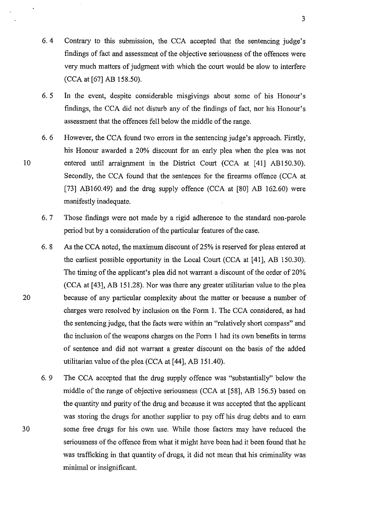- 6.4 Contrary to this submission, the CCA accepted that the sentencing judge's findings of fact and assessment of the objective seriousness of the offences were very much matters of judgment with which the court would be slow to interfere (CCA at [67] AB 158.50).
- 6. 5 In the event, despite considerable misgivings about some of his Honour's findings, the CCA did not disturb any of the findings of fact, nor his Honour's assessment that the offences fell below the middle of the range.
- 6. 6 However, the CCA found two errors in the sentencing judge's approach. Firstly, his Honour awarded a 20% discount for an early plea when the plea was not 10 entered until arraignment in the District Court (CCA at [41] ABI50.30). Secondly, the CCA found that the sentences for the firearms offence (CCA at [73] AB160.49) and the drug supply offence (CCA at [80] AB 162.60) were manifestly inadequate.
	- 6. 7 Those findings were not made by a rigid adherence to the standard non-parole period but by a consideration of the particular features of the case.
- 6. 8 As the CCA noted, the maximum discount of 25% is reserved for pleas entered at the earliest possible opportunity in the Local Court (CCA at [41], AB 150.30). The timing of the applicant's plea did not warrant a discount of the order of 20% (CCA at [43], AB 151.28). Nor was there any greater utilitarian value to the plea 20 because of any particular complexity about the matter or because a number of charges were resolved by inclusion on the Form 1. The CCA considered, as had the sentencing judge, that the facts were within an "relatively short compass" and the inclusion of the weapons charges on the Form I had its own benefits in terms of sentence and did not warrant a greater discount on the basis of the added utilitarian value of the plea (CCA at [44], AB 151.40).
	- 6. 9 The CCA accepted that the drug supply offence was "substantially" below the middle of the range of objective seriousness (CCA at [58], AB 156.5) based on the quantity and purity of the drug and because it was accepted that the applicant was storing the drugs for another supplier to payoff his drug debts and to earn some free drugs for his own use. While those factors may have reduced the seriousness of the offence from what it might have been had it been found that he was trafficking in that quantity of drugs, it did not mean that his criminality was minimal or insignificant.

30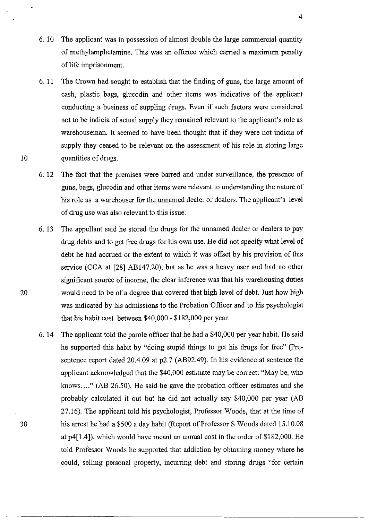- 6. 10 The applicant was in possession of almost double the large commercial quantity of methylamphetamine. This was an offence which carried a maximum penalty of life imprisonment.
- 6. 11 The Crown had sought to establish that the finding of guns, the large amount of cash, plastic bags, glucodin and other items was indicative of the applicant conducting a business of suppling drugs. Even if such factors were considered not to be indicia of actual supply they remained relevant to the applicant's role as warehouseman. It seemed to have been thought that if they were not indicia of supply they ceased to be relevant on the assessment of his role in storing large quantities of drugs.
- 6. 12 The fact that the premises were barred and under surveillance, the presence of guns, bags, glucodin and other items were relevant to understanding the nature of his role as a warehouser for the unnamed dealer or dealers. The applicant's level of drug use was also relevant to this issue.
- 6. 13 The appellant said he stored the drugs for the uunamed dealer or dealers to pay drug debts and to get free drugs for his own use. He did not specify what level of debt he had accrued or the extent to which it was offset by his provision of this service (CCA at [28] ABI47.20), but as he was a heavy user and had no other significant source of income, the clear inference was that his warehousing duties would need to be of a degree that covered that high level of debt. Just how high was indicated by his admissions to the Probation Officer and to his psychologist that his habit cost between \$40,000 - \$182,000 per year.
- 6. 14 The applicant told the parole officer that he had a \$40,000 per year habit. He said he supported this habit by "doing stupid things to get his drugs for free" (Pre~ sentence report dated 20.4.09 at p2.7 *(AB92.49)*. In his evidence at sentence the applicant acknowledged that the \$40,000 estimate may be correct: "May be, who knows...." (AB 26.50). He said he gave the probation officer estimates and she probably calculated it out but he did not actually say \$40,000 per year (AB 27.16). The applicant told his psychologist, Professor Woods, that at the time of 30 his arrest he had a \$500 a day habit (Report of Professor S Woods dated 15.10.08 at  $p4[1.4]$ , which would have meant an annual cost in the order of \$182,000. He told Professor Woods he supported that addiction by obtaining money where he could, selling personal property, incurring debt and storing drugs "for certain

~-----. -----------------

20

10

4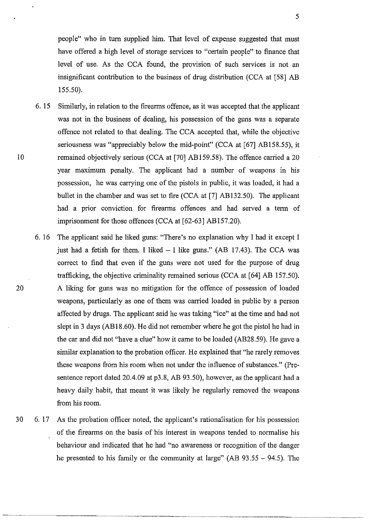people" who in turn supplied him. That level of expense suggested that must have offered a high level of storage services to "certain people" to finance that level of use. As the CCA found, the provision of such services is not an insignificant contribution to the business of drug distribution (CCA at [58] AB 155.50).

- 6. 15 Similarly, in relation to the firearms offence, as it was accepted that the applicant was not in the business of dealing, his possession of the guns was a separate offence not related to that dealing. The CCA accepted that, while the objective seriousness was "appreciably below the mid-point" (CCA at [67] AB158.55), it remained objectively serious (CCA at [70] ABI59.58). The offence carried a 20 year maximum penalty. The applicant had a number of weapons in his possession, he was carrying one of the pistols in public, it was loaded, it had a bullet in the chamber and was set to fire (CCA at [7] AB132.50). The applicant had a prior conviction for firearms offences and had served a term of imprisonment for those offences (CCA at [62-63] ABI57.20).
- 6. 16 The applicant said he liked guns: "There's no explanation why I had it except I just had a fetish for them. I liked  $-$  I like guns." (AB 17.43). The CCA was correct to find that even if the guns were not used for the purpose of drug trafficking, the objective criminality remained serious (CCA at [64] AB 157.50). A liking for guns was no mitigation for the offence of possession of loaded weapons, particularly as one of them was carried loaded in public by a person affected by drugs. The applicant said he was taking "ice" at the time and had not slept in 3 days (AB 18.60). He did not remember where he got the pistol he had in the car and did not "have a clue" how it came to be loaded (AB28.59). He gave a similar explanation to the probation officer. He explained that "he rarely removes these weapons from his room when not under the influence of substances." (Presentence report dated 20.4.09 at p3.8, AB 93.50), however, as the applicant had a heavy daily habit, that meant it was likely he regularly removed the weapons from his room.
- 30 6. 17 As the probation officer noted, the applicant's rationalisation for his possession of the firearms on the basis of his interest in weapons tended to normalise his behaviour and indicated that he had "no awareness or recognition of the danger he presented to his family or the community at large" (AB 93.55 - 94.5). The

20

10

5